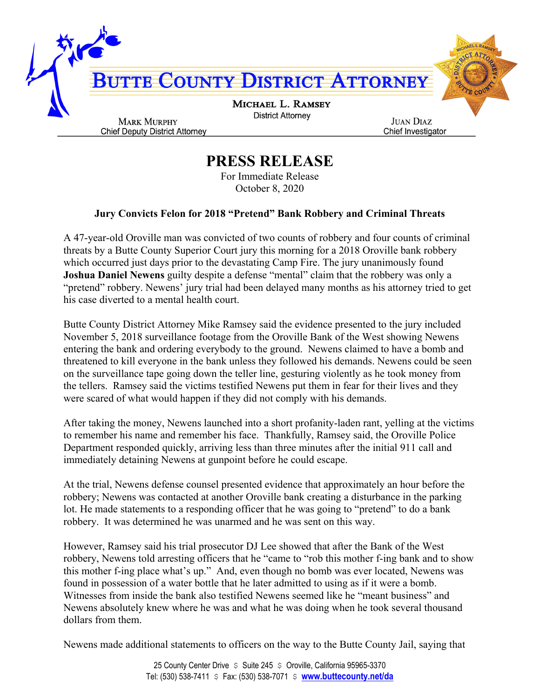

## **PRESS RELEASE**

For Immediate Release October 8, 2020

## **Jury Convicts Felon for 2018 "Pretend" Bank Robbery and Criminal Threats**

A 47-year-old Oroville man was convicted of two counts of robbery and four counts of criminal threats by a Butte County Superior Court jury this morning for a 2018 Oroville bank robbery which occurred just days prior to the devastating Camp Fire. The jury unanimously found **Joshua Daniel Newens** guilty despite a defense "mental" claim that the robbery was only a "pretend" robbery. Newens' jury trial had been delayed many months as his attorney tried to get his case diverted to a mental health court.

Butte County District Attorney Mike Ramsey said the evidence presented to the jury included November 5, 2018 surveillance footage from the Oroville Bank of the West showing Newens entering the bank and ordering everybody to the ground. Newens claimed to have a bomb and threatened to kill everyone in the bank unless they followed his demands. Newens could be seen on the surveillance tape going down the teller line, gesturing violently as he took money from the tellers. Ramsey said the victims testified Newens put them in fear for their lives and they were scared of what would happen if they did not comply with his demands.

After taking the money, Newens launched into a short profanity-laden rant, yelling at the victims to remember his name and remember his face. Thankfully, Ramsey said, the Oroville Police Department responded quickly, arriving less than three minutes after the initial 911 call and immediately detaining Newens at gunpoint before he could escape.

At the trial, Newens defense counsel presented evidence that approximately an hour before the robbery; Newens was contacted at another Oroville bank creating a disturbance in the parking lot. He made statements to a responding officer that he was going to "pretend" to do a bank robbery. It was determined he was unarmed and he was sent on this way.

However, Ramsey said his trial prosecutor DJ Lee showed that after the Bank of the West robbery, Newens told arresting officers that he "came to "rob this mother f-ing bank and to show this mother f-ing place what's up." And, even though no bomb was ever located, Newens was found in possession of a water bottle that he later admitted to using as if it were a bomb. Witnesses from inside the bank also testified Newens seemed like he "meant business" and Newens absolutely knew where he was and what he was doing when he took several thousand dollars from them.

Newens made additional statements to officers on the way to the Butte County Jail, saying that